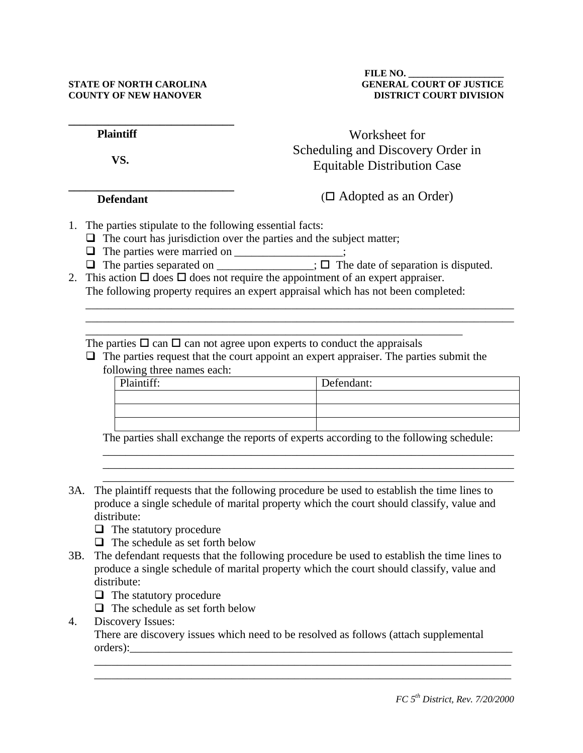| <b>Plaintiff</b> | Worksheet for                                                           |
|------------------|-------------------------------------------------------------------------|
| VS.              | Scheduling and Discovery Order in<br><b>Equitable Distribution Case</b> |
|                  |                                                                         |

## **Defendant**

 $(\Box$  Adopted as an Order)

- 1. The parties stipulate to the following essential facts:
	- $\Box$  The court has jurisdiction over the parties and the subject matter;
	- $\Box$  The parties were married on \_\_\_\_\_\_\_\_\_\_\_\_\_\_\_;
	- $\Box$  The parties separated on \_\_\_\_\_\_\_\_\_\_\_\_;  $\Box$  The date of separation is disputed.

\_\_\_\_\_\_\_\_\_\_\_\_\_\_\_\_\_\_\_\_\_\_\_\_\_\_\_\_\_\_\_\_\_\_\_\_\_\_\_\_\_\_\_\_\_\_\_\_\_\_\_\_\_\_\_\_\_\_\_\_\_\_\_\_\_\_\_\_\_\_\_\_\_\_\_ \_\_\_\_\_\_\_\_\_\_\_\_\_\_\_\_\_\_\_\_\_\_\_\_\_\_\_\_\_\_\_\_\_\_\_\_\_\_\_\_\_\_\_\_\_\_\_\_\_\_\_\_\_\_\_\_\_\_\_\_\_\_\_\_\_\_\_\_\_\_\_\_\_\_\_

2. This action  $\Box$  does  $\Box$  does not require the appointment of an expert appraiser. The following property requires an expert appraisal which has not been completed:

\_\_\_\_\_\_\_\_\_\_\_\_\_\_\_\_\_\_\_\_\_\_\_\_\_\_\_\_\_\_\_\_\_\_\_\_\_\_\_\_\_\_\_\_\_\_\_\_\_\_\_\_\_\_\_\_\_\_\_\_\_\_\_\_\_\_

The parties  $\Box$  can  $\Box$  can not agree upon experts to conduct the appraisals

 $\Box$  The parties request that the court appoint an expert appraiser. The parties submit the following three names each:

| Plaintiff: | Defendant: |
|------------|------------|
|            |            |
|            |            |
|            |            |

The parties shall exchange the reports of experts according to the following schedule:

\_\_\_\_\_\_\_\_\_\_\_\_\_\_\_\_\_\_\_\_\_\_\_\_\_\_\_\_\_\_\_\_\_\_\_\_\_\_\_\_\_\_\_\_\_\_\_\_\_\_\_\_\_\_\_\_\_\_\_\_\_\_\_\_\_\_\_\_\_\_\_\_ \_\_\_\_\_\_\_\_\_\_\_\_\_\_\_\_\_\_\_\_\_\_\_\_\_\_\_\_\_\_\_\_\_\_\_\_\_\_\_\_\_\_\_\_\_\_\_\_\_\_\_\_\_\_\_\_\_\_\_\_\_\_\_\_\_\_\_\_\_\_\_\_ \_\_\_\_\_\_\_\_\_\_\_\_\_\_\_\_\_\_\_\_\_\_\_\_\_\_\_\_\_\_\_\_\_\_\_\_\_\_\_\_\_\_\_\_\_\_\_\_\_\_\_\_\_\_\_\_\_\_\_\_\_\_\_\_\_\_\_\_\_\_\_\_

- 3A. The plaintiff requests that the following procedure be used to establish the time lines to produce a single schedule of marital property which the court should classify, value and distribute:
	- $\Box$  The statutory procedure
	- $\Box$  The schedule as set forth below
- 3B. The defendant requests that the following procedure be used to establish the time lines to produce a single schedule of marital property which the court should classify, value and distribute:
	- $\Box$  The statutory procedure
	- $\Box$  The schedule as set forth below
- 4. Discovery Issues:

There are discovery issues which need to be resolved as follows (attach supplemental orders):

\_\_\_\_\_\_\_\_\_\_\_\_\_\_\_\_\_\_\_\_\_\_\_\_\_\_\_\_\_\_\_\_\_\_\_\_\_\_\_\_\_\_\_\_\_\_\_\_\_\_\_\_\_\_\_\_\_\_\_\_\_\_\_\_\_\_\_\_\_\_\_\_\_ \_\_\_\_\_\_\_\_\_\_\_\_\_\_\_\_\_\_\_\_\_\_\_\_\_\_\_\_\_\_\_\_\_\_\_\_\_\_\_\_\_\_\_\_\_\_\_\_\_\_\_\_\_\_\_\_\_\_\_\_\_\_\_\_\_\_\_\_\_\_\_\_\_